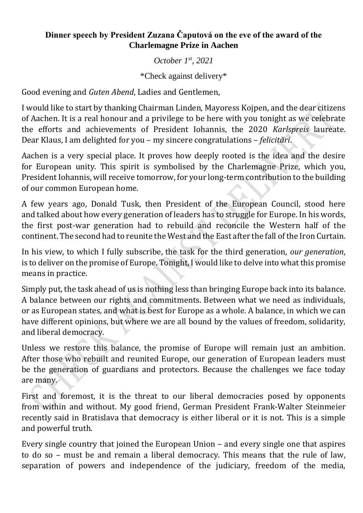## **Dinner speech by President Zuzana Čaputová on the eve of the award of the Charlemagne Prize in Aachen**

## *October 1st, 2021*

\*Check against delivery\*

Good evening and *Guten Abend*, Ladies and Gentlemen,

I would like to start by thanking Chairman Linden, Mayoress Kojpen, and the dear citizens of Aachen. It is a real honour and a privilege to be here with you tonight as we celebrate the efforts and achievements of President Iohannis, the 2020 *Karlspreis* laureate. Dear Klaus, I am delighted for you – my sincere congratulations – *felicitări*.

Aachen is a very special place. It proves how deeply rooted is the idea and the desire for European unity. This spirit is symbolised by the Charlemagne Prize, which you, President Iohannis, will receive tomorrow, for your long-term contribution to the building of our common European home.

A few years ago, Donald Tusk, then President of the European Council, stood here and talked about how every generation of leaders has to struggle for Europe. In his words, the first post-war generation had to rebuild and reconcile the Western half of the continent. The second had to reunite the West and the East after the fall of the Iron Curtain.

In his view, to which I fully subscribe, the task for the third generation, *our generation*, is to deliver on the promise of Europe. Tonight, I would like to delve into what this promise means in practice.

Simply put, the task ahead of us is nothing less than bringing Europe back into its balance. A balance between our rights and commitments. Between what we need as individuals, or as European states, and what is best for Europe as a whole. A balance, in which we can have different opinions, but where we are all bound by the values of freedom, solidarity, and liberal democracy.

Unless we restore this balance, the promise of Europe will remain just an ambition. After those who rebuilt and reunited Europe, our generation of European leaders must be the generation of guardians and protectors. Because the challenges we face today are many.

First and foremost, it is the threat to our liberal democracies posed by opponents from within and without. My good friend, German President Frank-Walter Steinmeier recently said in Bratislava that democracy is either liberal or it is not. This is a simple and powerful truth.

Every single country that joined the European Union – and every single one that aspires to do so – must be and remain a liberal democracy. This means that the rule of law, separation of powers and independence of the judiciary, freedom of the media,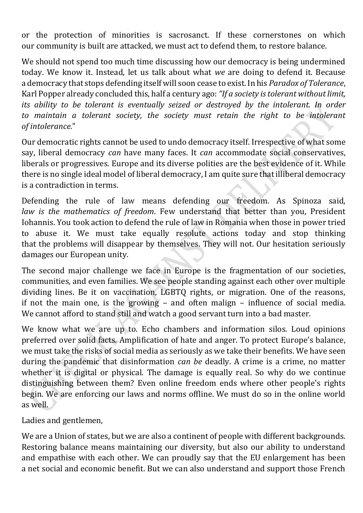or the protection of minorities is sacrosanct. If these cornerstones on which our community is built are attacked, we must act to defend them, to restore balance.

We should not spend too much time discussing how our democracy is being undermined today. We know it. Instead, let us talk about what *we* are doing to defend it. Because a democracy that stops defending itself will soon cease to exist. In his *Paradox of Tolerance*, Karl Popper already concluded this, half a century ago: *"If a society is tolerant without limit, its ability to be tolerant is eventually seized or destroyed by the intolerant. In order to maintain a tolerant society, the society must retain the right to be intolerant of intolerance.*"

Our democratic rights cannot be used to undo democracy itself. Irrespective of what some say, liberal democracy *can* have many faces. It *can* accommodate social conservatives, liberals or progressives. Europe and its diverse polities are the best evidence of it. While there is no single ideal model of liberal democracy, I am quite sure that illiberal democracy is a contradiction in terms.

Defending the rule of law means defending our freedom. As Spinoza said, *law is the mathematics of freedom*. Few understand that better than you, President Iohannis. You took action to defend the rule of law in Romania when those in power tried to abuse it. We must take equally resolute actions today and stop thinking that the problems will disappear by themselves. They will not. Our hesitation seriously damages our European unity.

The second major challenge we face in Europe is the fragmentation of our societies, communities, and even families. We see people standing against each other over multiple dividing lines. Be it on vaccination, LGBTQ rights, or migration. One of the reasons, if not the main one, is the growing – and often malign – influence of social media. We cannot afford to stand still and watch a good servant turn into a bad master.

We know what we are up to. Echo chambers and information silos. Loud opinions preferred over solid facts. Amplification of hate and anger. To protect Europe's balance, we must take the risks of social media as seriously as we take their benefits. We have seen during the pandemic that disinformation *can be* deadly. A crime is a crime, no matter whether it is digital or physical. The damage is equally real. So why do we continue distinguishing between them? Even online freedom ends where other people's rights begin. We are enforcing our laws and norms offline. We must do so in the online world as well.

Ladies and gentlemen,

We are a Union of states, but we are also a continent of people with different backgrounds. Restoring balance means maintaining our diversity, but also our ability to understand and empathise with each other. We can proudly say that the EU enlargement has been a net social and economic benefit. But we can also understand and support those French